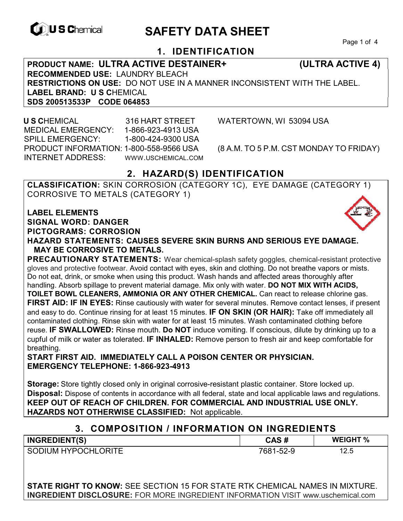

# **EXAGREM** SAFETY DATA SHEET

Page 1 of 4

# **1. IDENTIFICATION**

**PRODUCT NAME: ULTRA ACTIVE DESTAINER+ (ULTRA ACTIVE 4) RECOMMENDED USE:** LAUNDRY BLEACH **RESTRICTIONS ON USE:** DO NOT USE IN A MANNER INCONSISTENT WITH THE LABEL. **LABEL BRAND: U S C**HEMICAL **SDS 200513533P CODE 064853** 

 **U S C**HEMICAL 316 HART STREET WATERTOWN, WI 53094 USA MEDICAL EMERGENCY: 1-866-923-4913 USA SPILL EMERGENCY: 1-800-424-9300 USA PRODUCT INFORMATION: 1-800-558-9566 USA (8 A.M. TO 5 P.M. CST MONDAY TO FRIDAY) INTERNET ADDRESS: WWW.USCHEMICAL.COM

# **2. HAZARD(S) IDENTIFICATION**

**CLASSIFICATION:** SKIN CORROSION (CATEGORY 1C), EYE DAMAGE (CATEGORY 1) CORROSIVE TO METALS (CATEGORY 1)

**LABEL ELEMENTS SIGNAL WORD: DANGER PICTOGRAMS: CORROSION**

**HAZARD STATEMENTS: CAUSES SEVERE SKIN BURNS AND SERIOUS EYE DAMAGE. MAY BE CORROSIVE TO METALS.** 

**PRECAUTIONARY STATEMENTS:** Wear chemical-splash safety goggles, chemical-resistant protective gloves and protective footwear. Avoid contact with eyes, skin and clothing. Do not breathe vapors or mists. Do not eat, drink, or smoke when using this product. Wash hands and affected areas thoroughly after handling. Absorb spillage to prevent material damage. Mix only with water. **DO NOT MIX WITH ACIDS, TOILET BOWL CLEANERS, AMMONIA OR ANY OTHER CHEMICAL.** Can react to release chlorine gas. **FIRST AID: IF IN EYES:** Rinse cautiously with water for several minutes. Remove contact lenses, if present and easy to do. Continue rinsing for at least 15 minutes. **IF ON SKIN (OR HAIR):** Take off immediately all contaminated clothing. Rinse skin with water for at least 15 minutes. Wash contaminated clothing before reuse. **IF SWALLOWED:** Rinse mouth. **Do NOT** induce vomiting. If conscious, dilute by drinking up to a cupful of milk or water as tolerated. **IF INHALED:** Remove person to fresh air and keep comfortable for breathing.

**START FIRST AID. IMMEDIATELY CALL A POISON CENTER OR PHYSICIAN. EMERGENCY TELEPHONE: 1-866-923-4913** 

**Storage:** Store tightly closed only in original corrosive-resistant plastic container. Store locked up. **Disposal:** Dispose of contents in accordance with all federal, state and local applicable laws and regulations. **KEEP OUT OF REACH OF CHILDREN. FOR COMMERCIAL AND INDUSTRIAL USE ONLY. HAZARDS NOT OTHERWISE CLASSIFIED:** Not applicable.

### **3. COMPOSITION / INFORMATION ON INGREDIENTS**

| <b>INGREDIENT(S)</b>       | CAS #     | <b>WEIGHT %</b> |
|----------------------------|-----------|-----------------|
| <b>SODIUM HYPOCHLORITE</b> | 7681-52-9 | 12.5            |

**STATE RIGHT TO KNOW:** SEE SECTION 15 FOR STATE RTK CHEMICAL NAMES IN MIXTURE. **INGREDIENT DISCLOSURE:** FOR MORE INGREDIENT INFORMATION VISIT www.uschemical.com

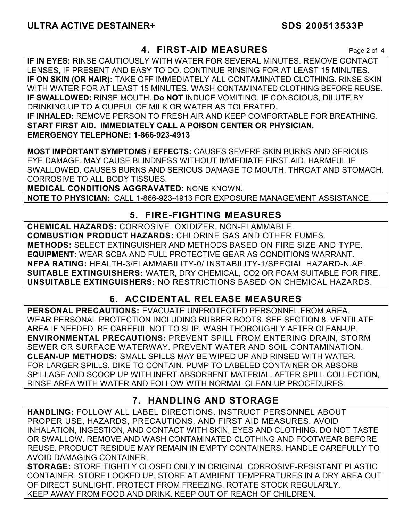# **4. FIRST-AID MEASURES** Page 2 of 4

**IF IN EYES:** RINSE CAUTIOUSLY WITH WATER FOR SEVERAL MINUTES. REMOVE CONTACT LENSES, IF PRESENT AND EASY TO DO. CONTINUE RINSING FOR AT LEAST 15 MINUTES. **IF ON SKIN (OR HAIR):** TAKE OFF IMMEDIATELY ALL CONTAMINATED CLOTHING. RINSE SKIN WITH WATER FOR AT LEAST 15 MINUTES. WASH CONTAMINATED CLOTHING BEFORE REUSE. **IF SWALLOWED:** RINSE MOUTH. **Do NOT** INDUCE VOMITING. IF CONSCIOUS, DILUTE BY DRINKING UP TO A CUPFUL OF MILK OR WATER AS TOLERATED. **IF INHALED:** REMOVE PERSON TO FRESH AIR AND KEEP COMFORTABLE FOR BREATHING. **START FIRST AID. IMMEDIATELY CALL A POISON CENTER OR PHYSICIAN. EMERGENCY TELEPHONE: 1-866-923-4913**

**MOST IMPORTANT SYMPTOMS / EFFECTS:** CAUSES SEVERE SKIN BURNS AND SERIOUS EYE DAMAGE. MAY CAUSE BLINDNESS WITHOUT IMMEDIATE FIRST AID. HARMFUL IF SWALLOWED. CAUSES BURNS AND SERIOUS DAMAGE TO MOUTH, THROAT AND STOMACH. CORROSIVE TO ALL BODY TISSUES.

**MEDICAL CONDITIONS AGGRAVATED:** NONE KNOWN.

**NOTE TO PHYSICIAN:** CALL 1-866-923-4913 FOR EXPOSURE MANAGEMENT ASSISTANCE.

# **5. FIRE-FIGHTING MEASURES**

**CHEMICAL HAZARDS:** CORROSIVE. OXIDIZER. NON-FLAMMABLE. **COMBUSTION PRODUCT HAZARDS:** CHLORINE GAS AND OTHER FUMES. **METHODS:** SELECT EXTINGUISHER AND METHODS BASED ON FIRE SIZE AND TYPE. **EQUIPMENT:** WEAR SCBA AND FULL PROTECTIVE GEAR AS CONDITIONS WARRANT. **NFPA RATING:** HEALTH-3/FLAMMABILITY-0/ INSTABILITY-1/SPECIAL HAZARD-N.AP. **SUITABLE EXTINGUISHERS:** WATER, DRY CHEMICAL, CO2 OR FOAM SUITABLE FOR FIRE. **UNSUITABLE EXTINGUISHERS:** NO RESTRICTIONS BASED ON CHEMICAL HAZARDS.

# **6. ACCIDENTAL RELEASE MEASURES**

**PERSONAL PRECAUTIONS:** EVACUATE UNPROTECTED PERSONNEL FROM AREA. WEAR PERSONAL PROTECTION INCLUDING RUBBER BOOTS. SEE SECTION 8. VENTILATE AREA IF NEEDED. BE CAREFUL NOT TO SLIP. WASH THOROUGHLY AFTER CLEAN-UP. **ENVIRONMENTAL PRECAUTIONS:** PREVENT SPILL FROM ENTERING DRAIN, STORM SEWER OR SURFACE WATERWAY. PREVENT WATER AND SOIL CONTAMINATION. **CLEAN-UP METHODS:** SMALL SPILLS MAY BE WIPED UP AND RINSED WITH WATER. FOR LARGER SPILLS, DIKE TO CONTAIN. PUMP TO LABELED CONTAINER OR ABSORB SPILLAGE AND SCOOP UP WITH INERT ABSORBENT MATERIAL. AFTER SPILL COLLECTION, RINSE AREA WITH WATER AND FOLLOW WITH NORMAL CLEAN-UP PROCEDURES.

# **7. HANDLING AND STORAGE**

**HANDLING:** FOLLOW ALL LABEL DIRECTIONS. INSTRUCT PERSONNEL ABOUT PROPER USE, HAZARDS, PRECAUTIONS, AND FIRST AID MEASURES. AVOID INHALATION, INGESTION, AND CONTACT WITH SKIN, EYES AND CLOTHING. DO NOT TASTE OR SWALLOW. REMOVE AND WASH CONTAMINATED CLOTHING AND FOOTWEAR BEFORE REUSE. PRODUCT RESIDUE MAY REMAIN IN EMPTY CONTAINERS. HANDLE CAREFULLY TO AVOID DAMAGING CONTAINER.

**STORAGE:** STORE TIGHTLY CLOSED ONLY IN ORIGINAL CORROSIVE-RESISTANT PLASTIC CONTAINER. STORE LOCKED UP. STORE AT AMBIENT TEMPERATURES IN A DRY AREA OUT OF DIRECT SUNLIGHT. PROTECT FROM FREEZING. ROTATE STOCK REGULARLY. KEEP AWAY FROM FOOD AND DRINK. KEEP OUT OF REACH OF CHILDREN.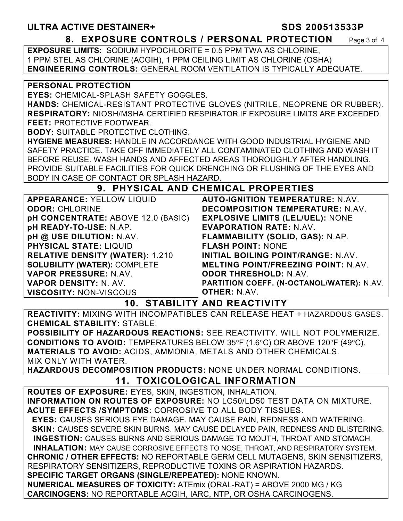### **ULTRA ACTIVE DESTAINER+ SDS 200513533P 8. EXPOSURE CONTROLS / PERSONAL PROTECTION** Page 3 of 4

**EXPOSURE LIMITS:** SODIUM HYPOCHLORITE = 0.5 PPM TWA AS CHLORINE, 1 PPM STEL AS CHLORINE (ACGIH), 1 PPM CEILING LIMIT AS CHLORINE (OSHA) **ENGINEERING CONTROLS:** GENERAL ROOM VENTILATION IS TYPICALLY ADEQUATE.

#### **PERSONAL PROTECTION**

**EYES:** CHEMICAL-SPLASH SAFETY GOGGLES.

**HANDS:** CHEMICAL-RESISTANT PROTECTIVE GLOVES (NITRILE, NEOPRENE OR RUBBER). **RESPIRATORY:** NIOSH/MSHA CERTIFIED RESPIRATOR IF EXPOSURE LIMITS ARE EXCEEDED. **FEET:** PROTECTIVE FOOTWEAR.

**BODY:** SUITABLE PROTECTIVE CLOTHING.

**HYGIENE MEASURES:** HANDLE IN ACCORDANCE WITH GOOD INDUSTRIAL HYGIENE AND SAFETY PRACTICE. TAKE OFF IMMEDIATELY ALL CONTAMINATED CLOTHING AND WASH IT BEFORE REUSE. WASH HANDS AND AFFECTED AREAS THOROUGHLY AFTER HANDLING. PROVIDE SUITABLE FACILITIES FOR QUICK DRENCHING OR FLUSHING OF THE EYES AND BODY IN CASE OF CONTACT OR SPLASH HAZARD.

# **9. PHYSICAL AND CHEMICAL PROPERTIES**

| <b>APPEARANCE: YELLOW LIQUID</b>       | <b>AUTO-IGNITION TEMPERATURE: N.AV.</b>    |
|----------------------------------------|--------------------------------------------|
| <b>ODOR: CHLORINE</b>                  | DECOMPOSITION TEMPERATURE: N.AV.           |
| pH CONCENTRATE: ABOVE 12.0 (BASIC)     | <b>EXPLOSIVE LIMITS (LEL/UEL): NONE</b>    |
| pH READY-TO-USE: N.AP.                 | <b>EVAPORATION RATE: N.AV.</b>             |
| pH @ USE DILUTION: N.AV.               | FLAMMABILITY (SOLID, GAS): N.AP.           |
| <b>PHYSICAL STATE: LIQUID</b>          | <b>FLASH POINT: NONE</b>                   |
| <b>RELATIVE DENSITY (WATER): 1.210</b> | <b>INITIAL BOILING POINT/RANGE: N.AV.</b>  |
| <b>SOLUBILITY (WATER): COMPLETE</b>    | <b>MELTING POINT/FREEZING POINT: N.AV.</b> |
| VAPOR PRESSURE: N.AV.                  | <b>ODOR THRESHOLD: N.AV.</b>               |
| VAPOR DENSITY: N. AV.                  | PARTITION COEFF. (N-OCTANOL/WATER): N.AV.  |
| <b>VISCOSITY: NON-VISCOUS</b>          | <b>OTHER: N.AV.</b>                        |

**10. STABILITY AND REACTIVITY** 

**REACTIVITY:** MIXING WITH INCOMPATIBLES CAN RELEASE HEAT + HAZARDOUS GASES. **CHEMICAL STABILITY:** STABLE.

**POSSIBILITY OF HAZARDOUS REACTIONS:** SEE REACTIVITY. WILL NOT POLYMERIZE. **CONDITIONS TO AVOID:** TEMPERATURES BELOW 35°F (1.6°C) OR ABOVE 120°F (49°C). **MATERIALS TO AVOID:** ACIDS, AMMONIA, METALS AND OTHER CHEMICALS. MIX ONLY WITH WATER.

**HAZARDOUS DECOMPOSITION PRODUCTS:** NONE UNDER NORMAL CONDITIONS. **11. TOXICOLOGICAL INFORMATION** 

**ROUTES OF EXPOSURE:** EYES, SKIN, INGESTION, INHALATION. **INFORMATION ON ROUTES OF EXPOSURE:** NO LC50/LD50 TEST DATA ON MIXTURE. **ACUTE EFFECTS /SYMPTOMS**: CORROSIVE TO ALL BODY TISSUES.  **EYES:** CAUSES SERIOUS EYE DAMAGE. MAY CAUSE PAIN, REDNESS AND WATERING. **SKIN: CAUSES SEVERE SKIN BURNS. MAY CAUSE DELAYED PAIN, REDNESS AND BLISTERING. INGESTION:** CAUSES BURNS AND SERIOUS DAMAGE TO MOUTH, THROAT AND STOMACH. **INHALATION:** MAY CAUSE CORROSIVE EFFECTS TO NOSE, THROAT, AND RESPIRATORY SYSTEM. **CHRONIC / OTHER EFFECTS:** NO REPORTABLE GERM CELL MUTAGENS, SKIN SENSITIZERS, RESPIRATORY SENSITIZERS, REPRODUCTIVE TOXINS OR ASPIRATION HAZARDS. **SPECIFIC TARGET ORGANS (SINGLE/REPEATED):** NONE KNOWN. **NUMERICAL MEASURES OF TOXICITY:** ATEmix (ORAL-RAT) = ABOVE 2000 MG / KG **CARCINOGENS:** NO REPORTABLE ACGIH, IARC, NTP, OR OSHA CARCINOGENS.